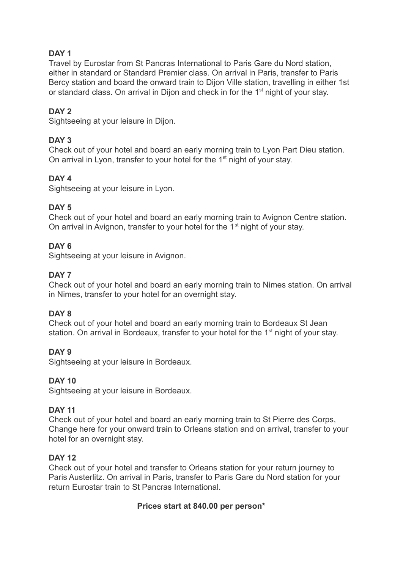# **DAY 1**

Travel by Eurostar from St Pancras International to Paris Gare du Nord station, either in standard or Standard Premier class. On arrival in Paris, transfer to Paris Bercy station and board the onward train to Dijon Ville station, travelling in either 1st or standard class. On arrival in Dijon and check in for the 1<sup>st</sup> night of your stay.

# **DAY 2**

Sightseeing at your leisure in Dijon.

## **DAY 3**

Check out of your hotel and board an early morning train to Lyon Part Dieu station. On arrival in Lyon, transfer to your hotel for the 1<sup>st</sup> night of your stay.

## **DAY 4**

Sightseeing at your leisure in Lyon.

## **DAY 5**

Check out of your hotel and board an early morning train to Avignon Centre station. On arrival in Avignon, transfer to your hotel for the 1<sup>st</sup> night of your stay.

## **DAY 6**

Sightseeing at your leisure in Avignon.

## **DAY 7**

Check out of your hotel and board an early morning train to Nimes station. On arrival in Nimes, transfer to your hotel for an overnight stay.

#### **DAY 8**

Check out of your hotel and board an early morning train to Bordeaux St Jean station. On arrival in Bordeaux, transfer to your hotel for the 1<sup>st</sup> night of your stay.

## **DAY 9**

Sightseeing at your leisure in Bordeaux.

## **DAY 10**

Sightseeing at your leisure in Bordeaux.

#### **DAY 11**

Check out of your hotel and board an early morning train to St Pierre des Corps, Change here for your onward train to Orleans station and on arrival, transfer to your hotel for an overnight stay.

#### **DAY 12**

Check out of your hotel and transfer to Orleans station for your return journey to Paris Austerlitz. On arrival in Paris, transfer to Paris Gare du Nord station for your return Eurostar train to St Pancras International.

#### **Prices start at 840.00 per person\***